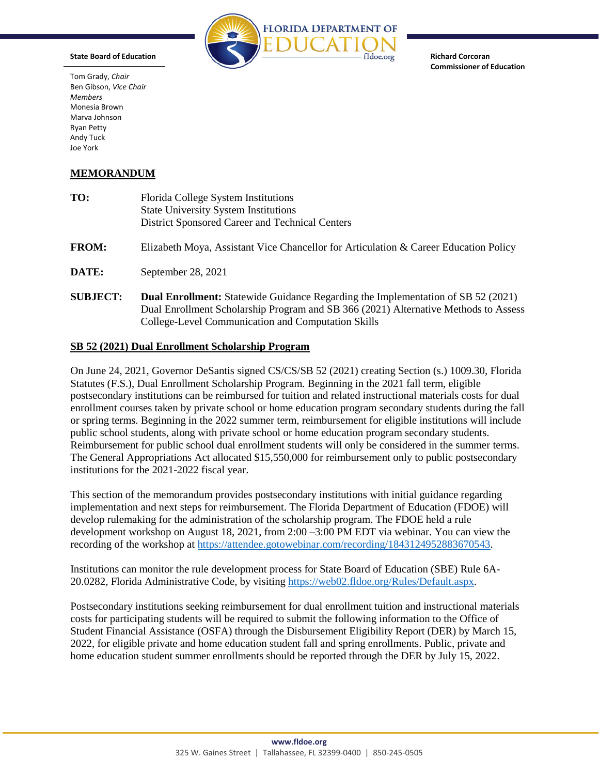

**Richard Corcoran Commissioner of Education**

## **State Board of Education**

Tom Grady, *Chair* Ben Gibson, *Vice Chair Members* Monesia Brown Marva Johnson Ryan Petty Andy Tuck Joe York

## **MEMORANDUM**

| TO:             | Florida College System Institutions<br><b>State University System Institutions</b><br>District Sponsored Career and Technical Centers                                                                                                |
|-----------------|--------------------------------------------------------------------------------------------------------------------------------------------------------------------------------------------------------------------------------------|
| <b>FROM:</b>    | Elizabeth Moya, Assistant Vice Chancellor for Articulation & Career Education Policy                                                                                                                                                 |
| DATE:           | September 28, 2021                                                                                                                                                                                                                   |
| <b>SUBJECT:</b> | <b>Dual Enrollment:</b> Statewide Guidance Regarding the Implementation of SB 52 (2021)<br>Dual Enrollment Scholarship Program and SB 366 (2021) Alternative Methods to Assess<br>College-Level Communication and Computation Skills |

### **SB 52 (2021) Dual Enrollment Scholarship Program**

On June 24, 2021, Governor DeSantis signed CS/CS/SB 52 (2021) creating Section (s.) 1009.30, Florida Statutes (F.S.), Dual Enrollment Scholarship Program. Beginning in the 2021 fall term, eligible postsecondary institutions can be reimbursed for tuition and related instructional materials costs for dual enrollment courses taken by private school or home education program secondary students during the fall or spring terms. Beginning in the 2022 summer term, reimbursement for eligible institutions will include public school students, along with private school or home education program secondary students. Reimbursement for public school dual enrollment students will only be considered in the summer terms. The General Appropriations Act allocated \$15,550,000 for reimbursement only to public postsecondary institutions for the 2021-2022 fiscal year.

This section of the memorandum provides postsecondary institutions with initial guidance regarding implementation and next steps for reimbursement. The Florida Department of Education (FDOE) will develop rulemaking for the administration of the scholarship program. The FDOE held a rule development workshop on August 18, 2021, from 2:00 –3:00 PM EDT via webinar. You can view the recording of the workshop at [https://attendee.gotowebinar.com/recording/1843124952883670543.](https://attendee.gotowebinar.com/recording/1843124952883670543)

Institutions can monitor the rule development process for State Board of Education (SBE) Rule 6A-20.0282, Florida Administrative Code, by visitin[g https://web02.fldoe.org/Rules/Default.aspx.](https://web02.fldoe.org/Rules/Default.aspx)

Postsecondary institutions seeking reimbursement for dual enrollment tuition and instructional materials costs for participating students will be required to submit the following information to the Office of Student Financial Assistance (OSFA) through the Disbursement Eligibility Report (DER) by March 15, 2022, for eligible private and home education student fall and spring enrollments. Public, private and home education student summer enrollments should be reported through the DER by July 15, 2022.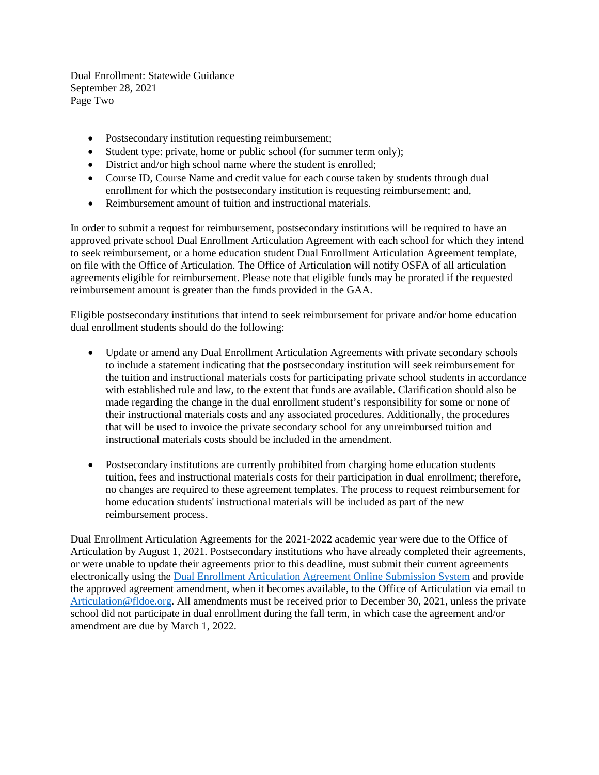Dual Enrollment: Statewide Guidance September 28, 2021 Page Two

- Postsecondary institution requesting reimbursement;
- Student type: private, home or public school (for summer term only);
- District and/or high school name where the student is enrolled;
- Course ID, Course Name and credit value for each course taken by students through dual enrollment for which the postsecondary institution is requesting reimbursement; and,
- Reimbursement amount of tuition and instructional materials.

In order to submit a request for reimbursement, postsecondary institutions will be required to have an approved private school Dual Enrollment Articulation Agreement with each school for which they intend to seek reimbursement, or a home education student Dual Enrollment Articulation Agreement template, on file with the Office of Articulation. The Office of Articulation will notify OSFA of all articulation agreements eligible for reimbursement. Please note that eligible funds may be prorated if the requested reimbursement amount is greater than the funds provided in the GAA.

Eligible postsecondary institutions that intend to seek reimbursement for private and/or home education dual enrollment students should do the following:

- Update or amend any Dual Enrollment Articulation Agreements with private secondary schools to include a statement indicating that the postsecondary institution will seek reimbursement for the tuition and instructional materials costs for participating private school students in accordance with established rule and law, to the extent that funds are available. Clarification should also be made regarding the change in the dual enrollment student's responsibility for some or none of their instructional materials costs and any associated procedures. Additionally, the procedures that will be used to invoice the private secondary school for any unreimbursed tuition and instructional materials costs should be included in the amendment.
- Postsecondary institutions are currently prohibited from charging home education students tuition, fees and instructional materials costs for their participation in dual enrollment; therefore, no changes are required to these agreement templates. The process to request reimbursement for home education students' instructional materials will be included as part of the new reimbursement process.

Dual Enrollment Articulation Agreements for the 2021-2022 academic year were due to the Office of Articulation by August 1, 2021. Postsecondary institutions who have already completed their agreements, or were unable to update their agreements prior to this deadline, must submit their current agreements electronically using the [Dual Enrollment Articulation Agreement Online Submission System](https://web06.fldoe.org/DualEnrollment/) and provide the approved agreement amendment, when it becomes available, to the Office of Articulation via email to [Articulation@fldoe.org.](mailto:Articulation@fldoe.org) All amendments must be received prior to December 30, 2021, unless the private school did not participate in dual enrollment during the fall term, in which case the agreement and/or amendment are due by March 1, 2022.